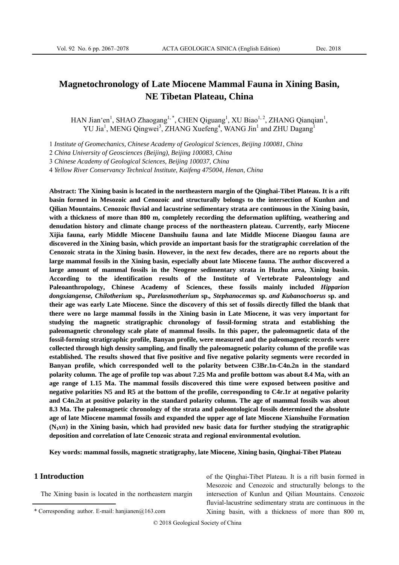# **Magnetochronology of Late Miocene Mammal Fauna in Xining Basin, NE Tibetan Plateau, China**

HAN Jian'en<sup>1</sup>, SHAO Zhaogang<sup>1,\*</sup>, CHEN Qiguang<sup>1</sup>, XU Biao<sup>1,2</sup>, ZHANG Qianqian<sup>1</sup>, YU Jia<sup>1</sup>, MENG Qingwei<sup>3</sup>, ZHANG Xuefeng<sup>4</sup>, WANG Jin<sup>1</sup> and ZHU Dagang<sup>1</sup>

1 *Institute of Geomechanics, Chinese Academy of Geological Sciences, Beijing 100081, China* 

2 *China University of Geosciences (Beijing), Beijing 100083, China* 

3 *Chinese Academy of Geological Sciences, Beijing 100037, China* 

4 *Yellow River Conservancy Technical Institute, Kaifeng 475004, Henan, China* 

**Abstract: The Xining basin is located in the northeastern margin of the Qinghai-Tibet Plateau. It is a rift basin formed in Mesozoic and Cenozoic and structurally belongs to the intersection of Kunlun and Qilian Mountains. Cenozoic fluvial and lacustrine sedimentary strata are continuous in the Xining basin, with a thickness of more than 800 m, completely recording the deformation uplifting, weathering and denudation history and climate change process of the northeastern plateau. Currently, early Miocene Xijia fauna, early Middle Miocene Danshuilu fauna and late Middle Miocene Diaogou fauna are discovered in the Xining basin, which provide an important basis for the stratigraphic correlation of the Cenozoic strata in the Xining basin. However, in the next few decades, there are no reports about the large mammal fossils in the Xining basin, especially about late Miocene fauna. The author discovered a large amount of mammal fossils in the Neogene sedimentary strata in Huzhu area, Xining basin. According to the identification results of the Institute of Vertebrate Paleontology and Paleoanthropology, Chinese Academy of Sciences, these fossils mainly included** *Hipparion dongxiangense, Chilotherium* **sp.***, Parelasmotherium* **sp.***, Stephanocemas* **sp.** *and Kubanochoerus* **sp. and their age was early Late Miocene. Since the discovery of this set of fossils directly filled the blank that there were no large mammal fossils in the Xining basin in Late Miocene, it was very important for studying the magnetic stratigraphic chronology of fossil-forming strata and establishing the paleomagnetic chronology scale plate of mammal fossils. In this paper, the paleomagnetic data of the fossil-forming stratigraphic profile, Banyan profile, were measured and the paleomagnetic records were collected through high density sampling, and finally the paleomagnetic polarity column of the profile was established. The results showed that five positive and five negative polarity segments were recorded in Banyan profile, which corresponded well to the polarity between C3Br.1n-C4n.2n in the standard polarity column. The age of profile top was about 7.25 Ma and profile bottom was about 8.4 Ma, with an age range of 1.15 Ma. The mammal fossils discovered this time were exposed between positive and negative polarities N5 and R5 at the bottom of the profile, corresponding to C4r.1r at negative polarity and C4n.2n at positive polarity in the standard polarity column. The age of mammal fossils was about 8.3 Ma. The paleomagnetic chronology of the strata and paleontological fossils determined the absolute age of late Miocene mammal fossils and expanded the upper age of late Miocene Xianshuihe Formation**   $(N_1 x n)$  in the Xining basin, which had provided new basic data for further studying the stratigraphic **deposition and correlation of late Cenozoic strata and regional environmental evolution.** 

**Key words: mammal fossils, magnetic stratigraphy, late Miocene, Xining basin, Qinghai-Tibet Plateau**

### **1 Introduction**

The Xining basin is located in the northeastern margin

of the Qinghai-Tibet Plateau. It is a rift basin formed in Mesozoic and Cenozoic and structurally belongs to the intersection of Kunlun and Qilian Mountains. Cenozoic fluvial-lacustrine sedimentary strata are continuous in the Xining basin, with a thickness of more than 800 m,

<sup>\*</sup> Corresponding author. E-mail: hanjianen $(a)$ 163.com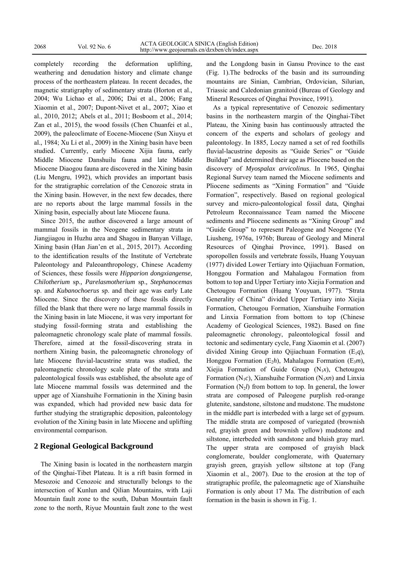completely recording the deformation uplifting, weathering and denudation history and climate change process of the northeastern plateau. In recent decades, the magnetic stratigraphy of sedimentary strata (Horton et al., 2004; Wu Lichao et al., 2006; Dai et al., 2006; Fang Xiaomin et al., 2007; Dupont-Nivet et al., 2007; Xiao et al., 2010, 2012; Abels et al., 2011; Bosboom et al., 2014; Zan et al., 2015), the wood fossils (Chen Chuanfei et al., 2009), the paleoclimate of Eocene-Miocene (Sun Xiuyu et al., 1984; Xu Li et al., 2009) in the Xining basin have been studied. Currently, early Miocene Xijia fauna, early Middle Miocene Danshuilu fauna and late Middle Miocene Diaogou fauna are discovered in the Xining basin (Liu Mengru, 1992), which provides an important basis for the stratigraphic correlation of the Cenozoic strata in the Xining basin. However, in the next few decades, there are no reports about the large mammal fossils in the Xining basin, especially about late Miocene fauna.

Since 2015, the author discovered a large amount of mammal fossils in the Neogene sedimentary strata in Jiangjiagou in Huzhu area and Shagou in Banyan Village, Xining basin (Han Jian'en et al., 2015, 2017). According to the identification results of the Institute of Vertebrate Paleontology and Paleoanthropology, Chinese Academy of Sciences, these fossils were *Hipparion dongxiangense, Chilotherium* sp.*, Parelasmotherium* sp.*, Stephanocemas*  sp. and *Kubanochoerus* sp. and their age was early Late Miocene. Since the discovery of these fossils directly filled the blank that there were no large mammal fossils in the Xining basin in late Miocene, it was very important for studying fossil-forming strata and establishing the paleomagnetic chronology scale plate of mammal fossils. Therefore, aimed at the fossil-discovering strata in northern Xining basin, the paleomagnetic chronology of late Miocene fluvial-lacustrine strata was studied, the paleomagnetic chronology scale plate of the strata and paleontological fossils was established, the absolute age of late Miocene mammal fossils was determined and the upper age of Xianshuihe Formationin in the Xining basin was expanded, which had provided new basic data for further studying the stratigraphic deposition, paleontology evolution of the Xining basin in late Miocene and uplifting environmental comparison.

### **2 Regional Geological Background**

The Xining basin is located in the northeastern margin of the Qinghai-Tibet Plateau. It is a rift basin formed in Mesozoic and Cenozoic and structurally belongs to the intersection of Kunlun and Qilian Mountains, with Laji Mountain fault zone to the south, Daban Mountain fault zone to the north, Riyue Mountain fault zone to the west and the Longdong basin in Gansu Province to the east (Fig. 1).The bedrocks of the basin and its surrounding mountains are Sinian, Cambrian, Ordovician, Silurian, Triassic and Caledonian granitoid (Bureau of Geology and Mineral Resources of Qinghai Province, 1991).

As a typical representative of Cenozoic sedimentary basins in the northeastern margin of the Qinghai-Tibet Plateau, the Xining basin has continuously attracted the concern of the experts and scholars of geology and paleontology. In 1885, Loczy named a set of red foothills fluvial-lacustrine deposits as "Guide Series" or "Guide Buildup" and determined their age as Pliocene based on the discovery of *Myospalax arvicolinus*. In 1965, Qinghai Regional Survey team named the Miocene sediments and Pliocene sediments as "Xining Formation" and "Guide Formation", respectively. Based on regional geological survey and micro-paleontological fossil data, Qinghai Petroleum Reconnaissance Team named the Miocene sediments and Pliocene sediments as "Xining Group" and "Guide Group" to represent Paleogene and Neogene (Ye Liusheng, 1976a, 1976b; Bureau of Geology and Mineral Resources of Qinghai Province, 1991). Based on sporopollen fossils and vertebrate fossils, Huang Youyuan (1977) divided Lower Tertiary into Qijiachuan Formation, Honggou Formation and Mahalagou Formation from bottom to top and Upper Tertiary into Xiejia Formation and Chetougou Formation (Huang Youyuan, 1977). "Strata Generality of China" divided Upper Tertiary into Xiejia Formation, Chetougou Formation, Xianshuihe Formation and Linxia Formation from bottom to top (Chinese Academy of Geological Sciences, 1982). Based on fine paleomagnetic chronology, paleontological fossil and tectonic and sedimentary cycle, Fang Xiaomin et al. (2007) divided Xining Group into Qijiachuan Formation (E1*q*), Honggou Formation (E<sub>2</sub>h), Mahalagou Formation (E<sub>3</sub>m), Xiejia Formation of Guide Group  $(N_1x)$ , Chetougou Formation (N<sub>1</sub>c), Xianshuihe Formation (N<sub>1</sub>*xn*) and Linxia Formation  $(N_2l)$  from bottom to top. In general, the lower strata are composed of Paleogene purplish red-orange glutenite, sandstone, siltstone and mudstone. The mudstone in the middle part is interbeded with a large set of gypsum. The middle strata are composed of variegated (brownish red, grayish green and brownish yellow) mudstone and siltstone, interbeded with sandstone and bluish gray marl. The upper strata are composed of grayish black conglomerate, boulder conglomerate, with Quaternary grayish green, grayish yellow siltstone at top (Fang Xiaomin et al., 2007). Due to the erosion at the top of stratigraphic profile, the paleomagnetic age of Xianshuihe Formation is only about 17 Ma. The distribution of each formation in the basin is shown in Fig. 1.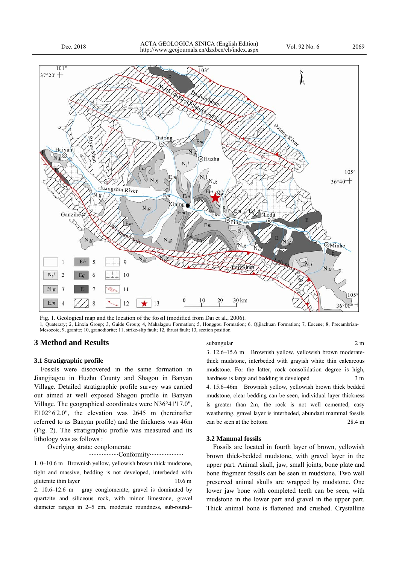

 $N_2l$  $\overline{2}$  $N_{1}g$  $105$ 30 km 10 Em 13 12  $36°00$ 

 $E<sub>m</sub>$ 

ining

Em

 $N_{0}$ 

Fig. 1. Geological map and the location of the fossil (modified from Dai et al., 2006).

 $N_{1}g$ 

1, Quaterary; 2, Linxia Group; 3, Guide Group; 4, Mahalagou Formation; 5, Honggou Formation; 6, Qijiachuan Formation; 7, Eocene; 8, Precambrian-Mesozoic; 9, granite; 10, granodiorite; 11, strike-slip fault; 12, thrust fault; 13, section position.

### **3 Method and Results**

Ganzihe

Eh

### **3.1 Stratigraphic profile**

Fossils were discovered in the same formation in Jiangjiagou in Huzhu County and Shagou in Banyan Village. Detailed stratigraphic profile survey was carried out aimed at well exposed Shagou profile in Banyan Village. The geographical coordinates were N36°41'17.0", E102° 6'2.0", the elevation was 2645 m (hereinafter referred to as Banyan profile) and the thickness was 46m (Fig. 2). The stratigraphic profile was measured and its lithology was as follows :

Huangshui River

 $\overline{Q}$ 

Overlying strata: conglomerate

····················Conformity·····················

1. 0–10.6 m Brownish yellow, yellowish brown thick mudstone, tight and massive, bedding is not developed, interbeded with glutenite thin layer 10.6 m 2. 10.6–12.6 m gray conglomerate, gravel is dominated by quartzite and siliceous rock, with minor limestone, gravel diameter ranges in 2–5 cm, moderate roundness, sub-round– 3. 12.6–15.6 m Brownish yellow, yellowish brown moderatethick mudstone, interbeded with grayish white thin calcareous

OMinhe

subangular 2 m

mudstone. For the latter, rock consolidation degree is high, hardness is large and bedding is developed 3 m 4. 15.6–46m Brownish yellow, yellowish brown thick bedded mudstone, clear bedding can be seen, individual layer thickness is greater than 2m, the rock is not well cemented, easy weathering, gravel layer is interbeded, abundant mammal fossils can be seen at the bottom 28.4 m

#### **3.2 Mammal fossils**

Fossils are located in fourth layer of brown, yellowish brown thick-bedded mudstone, with gravel layer in the upper part. Animal skull, jaw, small joints, bone plate and bone fragment fossils can be seen in mudstone. Two well preserved animal skulls are wrapped by mudstone. One lower jaw bone with completed teeth can be seen, with mudstone in the lower part and gravel in the upper part. Thick animal bone is flattened and crushed. Crystalline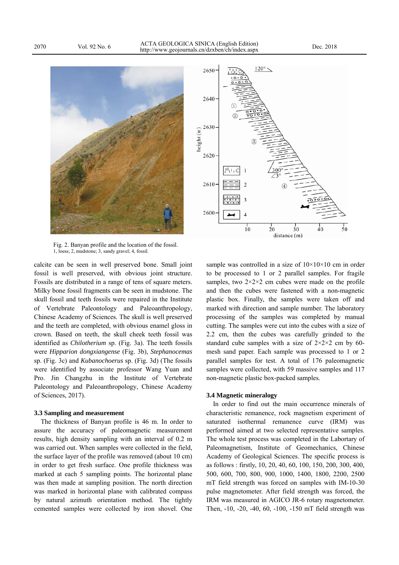



Fig. 2. Banyan profile and the location of the fossil. 1, loess; 2, mudstone; 3, sandy gravel; 4, fossil.

calcite can be seen in well preserved bone. Small joint fossil is well preserved, with obvious joint structure. Fossils are distributed in a range of tens of square meters. Milky bone fossil fragments can be seen in mudstone. The skull fossil and teeth fossils were repaired in the Institute of Vertebrate Paleontology and Paleoanthropology, Chinese Academy of Sciences. The skull is well preserved and the teeth are completed, with obvious enamel gloss in crown. Based on teeth, the skull cheek teeth fossil was identified as *Chilotherium* sp. (Fig. 3a). The teeth fossils were *Hipparion dongxiangense* (Fig. 3b), *Stephanocemas* sp. (Fig. 3c) and *Kubanochoerus* sp. (Fig. 3d) (The fossils were identified by associate professor Wang Yuan and Pro. Jin Changzhu in the Institute of Vertebrate Paleontology and Paleoanthropology, Chinese Academy of Sciences, 2017).

#### **3.3 Sampling and measurement**

The thickness of Banyan profile is 46 m. In order to assure the accuracy of paleomagnetic measurement results, high density sampling with an interval of 0.2 m was carried out. When samples were collected in the field, the surface layer of the profile was removed (about 10 cm) in order to get fresh surface. One profile thickness was marked at each 5 sampling points. The horizontal plane was then made at sampling position. The north direction was marked in horizontal plane with calibrated compass by natural azimuth orientation method. The tightly cemented samples were collected by iron shovel. One sample was controlled in a size of  $10\times10\times10$  cm in order to be processed to 1 or 2 parallel samples. For fragile samples, two  $2 \times 2 \times 2$  cm cubes were made on the profile and then the cubes were fastened with a non-magnetic plastic box. Finally, the samples were taken off and marked with direction and sample number. The laboratory processing of the samples was completed by manual cutting. The samples were cut into the cubes with a size of 2.2 cm, then the cubes was carefully grinded to the standard cube samples with a size of  $2\times2\times2$  cm by 60mesh sand paper. Each sample was processed to 1 or 2 parallel samples for test. A total of 176 paleomagnetic samples were collected, with 59 massive samples and 117 non-magnetic plastic box-packed samples.

### **3.4 Magnetic mineralogy**

In order to find out the main occurrence minerals of characteristic remanence, rock magnetism experiment of saturated isothermal remanence curve (IRM) was performed aimed at two selected representative samples. The whole test process was completed in the Labortary of Paleomagnetism, Institute of Geomechanics, Chinese Academy of Geological Sciences. The specific process is as follows : firstly, 10, 20, 40, 60, 100, 150, 200, 300, 400, 500, 600, 700, 800, 900, 1000, 1400, 1800, 2200, 2500 mT field strength was forced on samples with IM-10-30 pulse magnetometer. After field strength was forced, the IRM was measured in AGICO JR-6 rotary magnetometer. Then, -10, -20, -40, 60, -100, -150 mT field strength was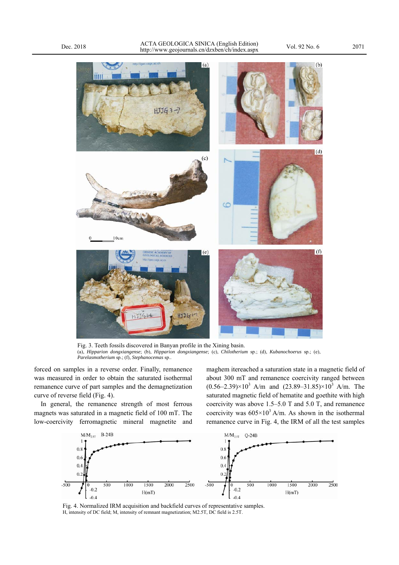

Fig. 3. Teeth fossils discovered in Banyan profile in the Xining basin. (a), *Hipparion dongxiangense*; (b), *Hipparion dongxiangense*; (c), *Chilotherium* sp.; (d), *Kubanochoerus* sp.; (e), *Parelasmotherium* sp.; (f), *Stephanocemas* sp..

forced on samples in a reverse order. Finally, remanence was measured in order to obtain the saturated isothermal remanence curve of part samples and the demagnetization curve of reverse field (Fig. 4).

In general, the remanence strength of most ferrous magnets was saturated in a magnetic field of 100 mT. The low-coercivity ferromagnetic mineral magnetite and maghem itereached a saturation state in a magnetic field of about 300 mT and remanence coercivity ranged between  $(0.56-2.39)\times10^3$  A/m and  $(23.89-31.85)\times10^3$  A/m. The saturated magnetic field of hematite and goethite with high coercivity was above 1.5–5.0 T and 5.0 T, and remanence coercivity was  $605 \times 10^3$  A/m. As shown in the isothermal remanence curve in Fig. 4, the IRM of all the test samples



Fig. 4. Normalized IRM acquisition and backfield curves of representative samples. H, intensity of DC field; M, intensity of remnant magnetization; M2.5T, DC field is 2.5T.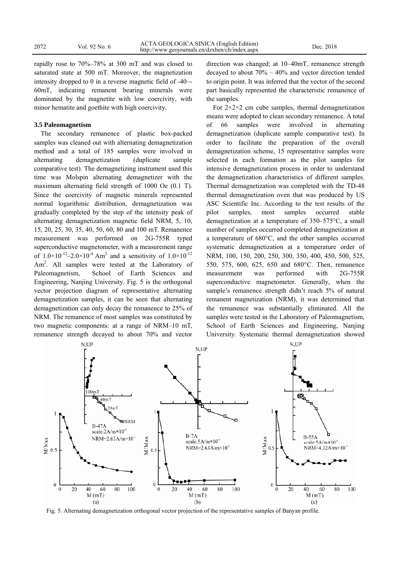rapidly rose to 70%–78% at 300 mT and was closed to saturated state at 500 mT. Moreover, the magnetization intensity dropped to 0 in a reverse magnetic field of -40–- 60mT, indicating remanent bearing minerals were dominated by the magnetite with low coercivity, with minor hematite and goethite with high coercivity.

### **3.5 Paleomagnetism**

The secondary remanence of plastic box-packed samples was cleaned out with alternating demagnetization method and a total of 185 samples were involved in alternating demagnetization (duplicate sample comparative test). The demagnetizing instrument used this time was Molspin alternating demagnetizer with the maximum alternating field strength of 1000 Oe (0.1 T). Since the coercivity of magnetic minerals represented normal logarithmic distribution, demagnetization was gradually completed by the step of the intensity peak of alternating demagnetization magnetic field NRM, 5, 10, 15, 20, 25, 30, 35, 40, 50, 60, 80 and 100 mT. Remanence measurement was performed on 2G-755R typed superconductive magnetometer, with a measurement range of  $1.0 \times 10^{-12} - 2.0 \times 10^{-4}$  Am<sup>2</sup> and a sensitivity of  $1.0 \times 10^{-12}$ Am<sup>2</sup>. All samples were tested at the Laboratory of Paleomagnetism, School of Earth Sciences and Engineering, Nanjing University. Fig. 5 is the orthogonal vector projection diagram of representative alternating demagnetization samples, it can be seen that alternating demagnetization can only decay the remanence to 25% of NRM. The remanence of most samples was constituted by two magnetic components: at a range of NRM–10 mT, remanence strength decayed to about 70% and vector

direction was changed; at 10–40mT, remanence strength decayed to about 70% – 40% and vector direction tended to origin point. It was inferred that the vector of the second part basically represented the characteristic remanence of the samples.

For  $2 \times 2 \times 2$  cm cube samples, thermal demagnetization means were adopted to clean secondary remanence. A total of 66 samples were involved in alternating demagnetization (duplicate sample comparative test). In order to facilitate the preparation of the overall demagnetization scheme, 15 representative samples were selected in each formation as the pilot samples for intensive demagnetization process in order to understand the demagnetization characteristics of different samples. Thermal demagnetization was completed with the TD-48 thermal demagnetization oven that was produced by US ASC Scientific Inc. According to the test results of the pilot samples, most samples occurred stable demagnetization at a temperature of 350–575°C, a small number of samples occurred completed demagnetization at a temperature of 680°C, and the other samples occurred systematic demagnetization at a temperature order of NRM, 100, 150, 200, 250, 300, 350, 400, 450, 500, 525, 550, 575, 600, 625, 650 and 680°C. Then, remanence measurement was performed with 2G-755R superconductive magnetometer. Generally, when the sample's remanence strength didn't reach 5% of natural remanent magnetization (NRM), it was determined that the remanence was substantially eliminated. All the samples were tested in the Laboratory of Paleomagnetism, School of Earth Sciences and Engineering, Nanjing University. Systematic thermal demagnetization showed



Fig. 5. Alternating demagnetization orthogonal vector projection of the representative samples of Banyan profile.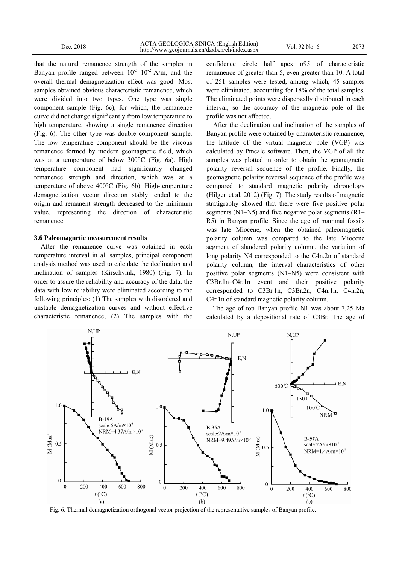that the natural remanence strength of the samples in Banyan profile ranged between  $10^{-3}-10^{-2}$  A/m, and the overall thermal demagnetization effect was good. Most samples obtained obvious characteristic remanence, which were divided into two types. One type was single component sample (Fig. 6c), for which, the remanence curve did not change significantly from low temperature to high temperature, showing a single remanence direction (Fig. 6). The other type was double component sample. The low temperature component should be the viscous remanence formed by modern geomagnetic field, which was at a temperature of below 300°C (Fig. 6a). High temperature component had significantly changed remanence strength and direction, which was at a temperature of above 400°C (Fig. 6b). High-temperature demagnetization vector direction stably tended to the origin and remanent strength decreased to the minimum value, representing the direction of characteristic remanence.

### **3.6 Paleomagnetic measurement results**

After the remanence curve was obtained in each temperature interval in all samples, principal component analysis method was used to calculate the declination and inclination of samples (Kirschvink, 1980) (Fig. 7). In order to assure the reliability and accuracy of the data, the data with low reliability were eliminated according to the following principles: (1) The samples with disordered and unstable demagnetization curves and without effective characteristic remanence; (2) The samples with the confidence circle half apex α95 of characteristic remanence of greater than 5, even greater than 10. A total of 251 samples were tested, among which, 45 samples were eliminated, accounting for 18% of the total samples. The eliminated points were dispersedly distributed in each interval, so the accuracy of the magnetic pole of the profile was not affected.

After the declination and inclination of the samples of Banyan profile were obtained by characteristic remanence, the latitude of the virtual magnetic pole (VGP) was calculated by Pmcalc software. Then, the VGP of all the samples was plotted in order to obtain the geomagnetic polarity reversal sequence of the profile. Finally, the geomagnetic polarity reversal sequence of the profile was compared to standard magnetic polarity chronology (Hilgen et al, 2012) (Fig. 7). The study results of magnetic stratigraphy showed that there were five positive polar segments (N1–N5) and five negative polar segments (R1– R5) in Banyan profile. Since the age of mammal fossils was late Miocene, when the obtained paleomagnetic polarity column was compared to the late Miocene segment of slandered polarity column, the variation of long polarity N4 corresponded to the C4n.2n of standard polarity column, the interval characteristics of other positive polar segments (N1–N5) were consistent with C3Br.1n–C4r.1n event and their positive polarity corresponded to C3Br.1n, C3Br.2n, C4n.1n, C4n.2n, C4r.1n of standard magnetic polarity column.

The age of top Banyan profile N1 was about 7.25 Ma calculated by a depositional rate of C3Br. The age of



Fig. 6. Thermal demagnetization orthogonal vector projection of the representative samples of Banyan profile.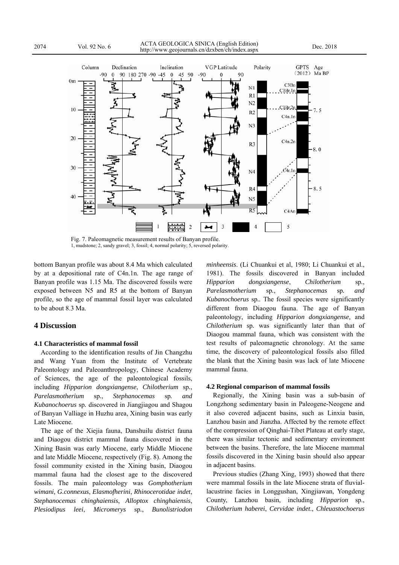

Fig. 7. Paleomagnetic measurement results of Banyan profile. 1, mudstone; 2, sandy gravel; 3, fossil; 4, normal polarity; 5, reversed polarity.

bottom Banyan profile was about 8.4 Ma which calculated by at a depositional rate of C4n.1n. The age range of Banyan profile was 1.15 Ma. The discovered fossils were exposed between N5 and R5 at the bottom of Banyan profile, so the age of mammal fossil layer was calculated to be about 8.3 Ma.

## **4 Discussion**

### **4.1 Characteristics of mammal fossil**

According to the identification results of Jin Changzhu and Wang Yuan from the Institute of Vertebrate Paleontology and Paleoanthropology, Chinese Academy of Sciences, the age of the paleontological fossils, including *Hipparion dongxiangense*, *Chilotherium* sp*.*, *Parelasmotherium* sp*.*, *Stephanocemas* sp*. and Kubanochoerus* sp*.* discovered in Jiangjiagou and Shagou of Banyan Valliage in Huzhu area, Xining basin was early Late Miocene.

The age of the Xiejia fauna, Danshuilu district fauna and Diaogou district mammal fauna discovered in the Xining Basin was early Miocene, early Middle Miocene and late Middle Miocene, respectively (Fig. 8). Among the fossil community existed in the Xining basin, Diaogou mammal fauna had the closest age to the discovered fossils. The main paleontology was *Gomphotherium wimani, G.connexus*, *Elasmofherini*, *Rhinocerotidae indet*, *Stephanocemas chinghaiensis*, *Alloptox chinghaiensis*, *Plesiodipus leei*, *Micromerys* sp*.*, *Bunolistriodon*  *minheensis*. (Li Chuankui et al, 1980; Li Chuankui et al., 1981). The fossils discovered in Banyan included *Hipparion dongxiangense*, *Chilotherium* sp*.*, *Parelasmotherium* sp*.*, *Stephanocemas* sp*. and Kubanochoerus* sp*..* The fossil species were significantly different from Diaogou fauna. The age of Banyan paleontology, including *Hipparion dongxiangense,* and *Chilotherium* sp*.* was significantly later than that of Diaogou mammal fauna, which was consistent with the test results of paleomagnetic chronology. At the same time, the discovery of paleontological fossils also filled the blank that the Xining basin was lack of late Miocene mammal fauna.

### **4.2 Regional comparison of mammal fossils**

Regionally, the Xining basin was a sub-basin of Longzhong sedimentary basin in Paleogene-Neogene and it also covered adjacent basins, such as Linxia basin, Lanzhou basin and Jianzha. Affected by the remote effect of the compression of Qinghai-Tibet Plateau at early stage, there was similar tectonic and sedimentary environment between the basins. Therefore, the late Miocene mammal fossils discovered in the Xining basin should also appear in adjacent basins.

Previous studies (Zhang Xing, 1993) showed that there were mammal fossils in the late Miocene strata of fluviallacustrine facies in Longgushan, Xingjiawan, Yongdeng County, Lanzhou basin, including *Hipparion* sp., *Chilotherium haberei*, *Cervidae indet*., *Chleuastochoerus*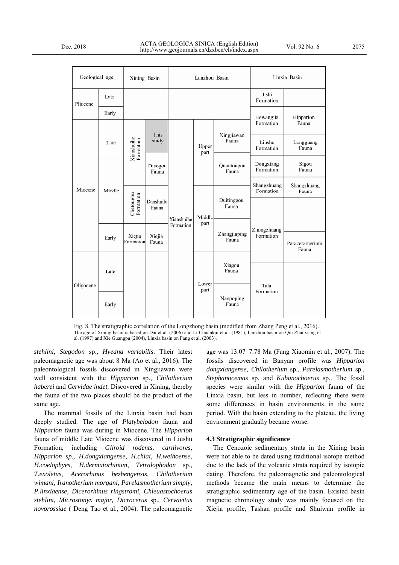Pli

Oli

|           | Geological age<br>Xining Basin |                         | Lanzhou Basin      |                         |                | Linxia Basin          |                                                      |                          |
|-----------|--------------------------------|-------------------------|--------------------|-------------------------|----------------|-----------------------|------------------------------------------------------|--------------------------|
| Pliocene  | Late                           |                         |                    |                         |                |                       | Jishi<br>Formation                                   |                          |
|           | Early                          |                         |                    |                         |                |                       | Hewangjia<br>Formation                               | Hipparion<br>Fauna       |
| Miocene   | Late                           | Xianshuihe<br>Formation | This<br>study      | Xianshuihe<br>Formation | Upper<br>part  | Xingjiawan<br>Fauna   | Liushu<br>Formation                                  | Longguang<br>Fauna       |
|           | Middle                         |                         | Diaogou<br>Fauna   |                         |                | Quantougou<br>Fauna   | Dongxiang<br>Formation                               | Sigou<br>Fauna           |
|           |                                | Chetougou<br>Formation  |                    |                         | Middle<br>part |                       | Shangzhuang<br>Formation<br>Zhongzhuang<br>Formation | Shangzhuang<br>Fauna     |
|           |                                |                         | Danshuilu<br>Fauna |                         |                | Duitinggou<br>Fauna   |                                                      |                          |
|           | Early                          | Xiejia<br>Formation     | Xiejia<br>Fauna    |                         |                | Zhangjiaping<br>Fauna |                                                      | Paraceratherium<br>Fauna |
| Oligocene | Late                           |                         |                    |                         | Lower<br>part  | Xiagou<br>Fauna       | Tala<br>Formation                                    |                          |
|           |                                |                         |                    |                         |                |                       |                                                      |                          |
|           |                                |                         |                    |                         |                | Nanpoping             |                                                      |                          |

Fig. 8. The stratigraphic correlation of the Longzhong basin (modified from Zhang Peng et al., 2016). The age of Xining basin is based on Dai et al. (2006) and Li Chuankui et al. (1981), Lanzhou basin on Qiu Zhanxiang et al. (1997) and Xie Guangpu (2004), Linxia basin on Fang et al. (2003).

Fauna

*stehlini*, *Stegodon* sp., *Hyeana variabilis*. Their latest paleomagnetic age was about 8 Ma (Ao et al., 2016). The paleontological fossils discovered in Xingjiawan were well consistent with the *Hipparion* sp., *Chilotherium haberei* and *Cervidae indet*. Discovered in Xining, thereby the fauna of the two places should be the product of the same age.

Early

The mammal fossils of the Linxia basin had been deeply studied. The age of *Platybelodon* fauna and *Hipparion* fauna was during in Miocene. The *Hipparion* fauna of middle Late Miocene was discovered in Liushu Formation, including *Gliroid rodents, carnivores, Hipparion sp., H.dongxiangense, H.chiai*, *H.weihoense*, *H.coelophyes*, *H.dermatorhinum*, *Tetralophodon* sp., *T.exoletus*, *Acerorhinus hezhengensis, Chilotherium wimani, Iranotherium morgani, Parelasmotherium simply, P.linxiaense, Dicerorhinus ringstromi, Chleuastochoerus stehlini, Microstonyx major, Dicrocerus* sp.*, Cervavitus novorossiae* ( Deng Tao et al., 2004). The paleomagnetic age was 13.07–7.78 Ma (Fang Xiaomin et al., 2007). The fossils discovered in Banyan profile was *Hipparion dongxiangense, Chilotherium* sp.*, Parelasmotherium* sp.*, Stephanocemas* sp. and *Kubanochoerus* sp.*.* The fossil species were similar with the *Hipparion* fauna of the Linxia basin, but less in number, reflecting there were some differences in basin environments in the same period. With the basin extending to the plateau, the living environment gradually became worse.

#### **4.3 Stratigraphic significance**

The Cenozoic sedimentary strata in the Xining basin were not able to be dated using traditional isotope method due to the lack of the volcanic strata required by isotopic dating. Therefore, the paleomagnetic and paleontological methods became the main means to determine the stratigraphic sedimentary age of the basin. Existed basin magnetic chronology study was mainly focused on the Xiejia profile, Tashan profile and Shuiwan profile in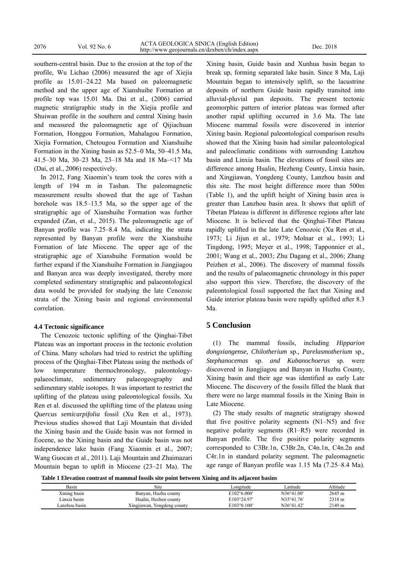southern-central basin. Due to the erosion at the top of the profile, Wu Lichao (2006) measured the age of Xiejia profile as 15.01–24.22 Ma based on paleomagnetic method and the upper age of Xianshuihe Formation at profile top was 15.01 Ma. Dai et al., (2006) carried magnetic stratigraphic study in the Xiejia profile and Shuiwan profile in the southern and central Xining basin and measured the paleomagnetic age of Qijiachuan Formation, Honggou Formation, Mahalagou Formation, Xiejia Formation, Chetougou Formation and Xianshuihe Formation in the Xining basin as 52.5–0 Ma, 50–41.5 Ma, 41.5–30 Ma, 30–23 Ma, 23–18 Ma and 18 Ma–<17 Ma (Dai, et al., 2006) respectively.

In 2012, Fang Xiaomin's team took the cores with a length of 194 m in Tashan. The paleomagnetic measurement results showed that the age of Tashan borehole was 18.5–13.5 Ma, so the upper age of the stratigraphic age of Xianshuihe Formation was further expanded (Zan, et al., 2015). The paleomagnetic age of Banyan profile was 7.25–8.4 Ma, indicating the strata represented by Banyan profile were the Xianshuihe Formation of late Miocene. The upper age of the stratigraphic age of Xianshuihe Formation would be further expand if the Xianshuihe Formation in Jiangjiagou and Banyan area was deeply investigated, thereby more completed sedimentary stratigraphic and palaeontological data would be provided for studying the late Cenozoic strata of the Xining basin and regional environmental correlation.

### **4.4 Tectonic significance**

The Cenozoic tectonic uplifting of the Qinghai-Tibet Plateau was an important process in the tectonic evolution of China. Many scholars had tried to restrict the uplifting process of the Qinghai-Tibet Plateau using the methods of low temperature thermochronology, paleontologypalaeoclimate, sedimentary palaeogeography and sedimentary stable isotopes. It was important to restrict the uplifting of the plateau using paleontological fossils. Xu Ren et al. discussed the uplifting time of the plateau using *Quercus semicarpifolia* fossil (Xu Ren et al., 1973). Previous studies showed that Laji Mountain that divided the Xining basin and the Guide basin was not formed in Eocene, so the Xining basin and the Guide basin was not independence lake basin (Fang Xiaomin et al., 2007; Wang Guocan et al., 2011). Laji Mountain and Zhaimazari Mountain began to uplift in Miocene (23–21 Ma). The Xining basin, Guide basin and Xunhua basin began to break up, forming separated lake basin. Since 8 Ma, Laji Mountain began to intensively uplift, so the lacustrine deposits of northern Guide basin rapidly transited into alluvial-pluvial pan deposits. The present tectonic geomorphic pattern of interior plateau was formed after another rapid uplifting occurred in 3.6 Ma. The late Miocene mammal fossils were discovered in interior Xining basin. Regional paleontological comparison results showed that the Xining basin had similar paleontological and paleoclimatic conditions with surrounding Lanzhou basin and Linxia basin. The elevations of fossil sites are difference among Hualin, Hezheng County, Linxia basin, and Xingjiawan, Yongdeng County, Lanzhou basin and this site. The most height difference more than 500m (Table 1), and the uplift height of Xining basin area is greater than Lanzhou basin area. It shows that uplift of Tibetan Plateau is different in difference regions after late Miocene. It is believed that the Qinghai-Tibet Plateau rapidly uplifted in the late Late Cenozoic (Xu Ren et al., 1973; Li Jijun et al., 1979; Molnar et al., 1993; Li Tingdong, 1995; Meyer et al., 1998; Tapponnier et al., 2001; Wang et al., 2003; Zhu Dagang et al., 2006; Zhang Peizhen et al., 2006). The discovery of mammal fossils and the results of palaeomagnetic chronology in this paper also support this view. Therefore, the discovery of the paleontological fossil supported the fact that Xining and Guide interior plateau basin were rapidly uplifted after 8.3 Ma.

# **5 Conclusion**

(1) The mammal fossils, including *Hipparion dongxiangense, Chilotherium* sp.*, Parelasmotherium* sp.*, Stephanocemas* sp. *and Kubanochoerus* sp. were discovered in Jiangjiagou and Banyan in Huzhu County, Xining basin and their age was identified as early Late Miocene. The discovery of the fossils filled the blank that there were no large mammal fossils in the Xining Bain in Late Miocene.

(2) The study results of magnetic stratigrapy showed that five positive polarity segments (N1–N5) and five negative polarity segments (R1–R5) were recorded in Banyan profile. The five positive polarity segments corresponded to C3Br.1n, C3Br.2n, C4n.1n, C4n.2n and C4r.1n in standard polarity segment. The paleomagnetic age range of Banyan profile was 1.15 Ma (7.25–8.4 Ma).

**Table 1 Elevation contrast of mammal fossils site point between Xining and its adjacent basins** 

| Basin         | Site                           | ∟ongitude            | atitude             | Altitude |
|---------------|--------------------------------|----------------------|---------------------|----------|
| Xining basin  | Banyan, Huzhu county           | $E102^{\circ}6.000'$ | $N36^{\circ}41.00'$ | 2645 m   |
| Linxia basin  | Hualin, Hezhen county          | E103°24.97'          | N35°41.76'          | 2318 m   |
| Lanzhou basın | Xingjiawan,<br>Yongdeng county | E103°0.100'          | N36°41.42'          | 2149 m   |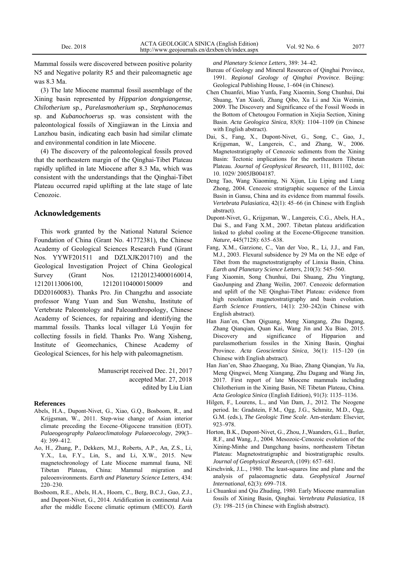Mammal fossils were discovered between positive polarity N5 and Negative polarity R5 and their paleomagnetic age was 8.3 Ma.

(3) The late Miocene mammal fossil assemblage of the Xining basin represented by *Hipparion dongxiangense, Chilotherium* sp.*, Parelasmotherium* sp.*, Stephanocemas*  sp. and *Kubanochoerus* sp. was consistent with the paleontological fossils of Xingjiawan in the Linxia and Lanzhou basin, indicating each basin had similar climate and environmental condition in late Miocene.

(4) The discovery of the paleontological fossils proved that the northeastern margin of the Qinghai-Tibet Plateau rapidly uplifted in late Miocene after 8.3 Ma, which was consistent with the understandings that the Qinghai-Tibet Plateau occurred rapid uplifting at the late stage of late Cenozoic.

### **Acknowledgements**

This work granted by the National Natural Science Foundation of China (Grant No. 41772381), the Chinese Academy of Geological Sciences Research Fund (Grant Nos. YYWF201511 and DZLXJK201710) and the Geological Investigation Project of China Geological Survey (Grant Nos. 121201234000160014, 12120113006100, 121201104000150009 and DD20160083). Thanks Pro. Jin Changzhu and associate professor Wang Yuan and Sun Wenshu, Institute of Vertebrate Paleontology and Paleoanthropology, Chinese Academy of Sciences, for repairing and identifying the mammal fossils. Thanks local villager Lü Youjin for collecting fossils in field. Thanks Pro. Wang Xisheng, Institute of Geomechanics, Chinese Academy of Geological Sciences, for his help with paleomagnetism.

> Manuscript received Dec. 21, 2017 accepted Mar. 27, 2018 edited by Liu Lian

#### **References**

- Abels, H.A., Dupont-Nivet, G., Xiao, G.Q., Bosboom, R., and Krijgsman, W., 2011. Step-wise change of Asian interior climate preceding the Eocene–Oligocene transition (EOT). *Palaeogeography Palaeoclimatology Palaeoecology*, 299(3– 4): 399–412.
- Ao, H., Zhang, P., Dekkers, M.J., Roberts, A.P., An, Z.S., Li, Y.X., Lu, F.Y., Lin, S., and Li, X.W., 2015. New magnetochronology of Late Miocene mammal fauna, NE Tibetan Plateau, China: Mammal migration and paleoenvironments. *Earth and Planetary Science Letters*, 434: 220–230.
- Bosboom, R.E., Abels, H.A., Hoorn, C., Berg, B.C.J., Guo, Z.J., and Dupont-Nivet, G., 2014. Aridification in continental Asia after the middle Eocene climatic optimum (MECO). *Earth*

*and Planetary Science Letters*, 389: 34–42.

- Bureau of Geology and Mineral Resources of Qinghai Province, 1991. *Regional Geology of Qinghai Province*. Beijing: Geological Publishing House, 1–604 (in Chinese).
- Chen Chuanfei, Miao Yunfa, Fang Xiaomin, Song Chunhui, Dai Shuang, Yan Xiaoli, Zhang Qibo, Xu Li and Xia Weimin, 2009. The Discovery and Significance of the Fossil Woods in the Bottom of Chetougou Formation in Xiejia Section, Xining Basin. *Acta Geologica Sinica*, 83(8): 1104–1109 (in Chinese with English abstract).
- Dai, S., Fang, X., Dupont-Nivet, G., Song, C., Gao, J., Krijgsman, W., Langereis, C., and Zhang, W., 2006. Magnetostratigraphy of Cenozoic sediments from the Xining Basin: Tectonic implications for the northeastern Tibetan Plateau. *Journal of Geophysical Research*, 111, B11102, doi: 10. 1029/ 2005JB004187.
- Deng Tao, Wang Xiaoming, Ni Xijun, Liu Liping and Liang Zhong, 2004. Cenozoic stratigraphic sequence of the Linxia Basin in Gansu, China and its evidence from mammal fossils. *Vertebrata Palasiatica*, 42(1): 45–66 (in Chinese with English abstract).
- Dupont-Nivet, G., Krijgsman, W., Langereis, C.G., Abels, H.A., Dai S., and Fang X.M., 2007. Tibetan plateau aridification linked to global cooling at the Eocene-Oligocene transition. *Nature*, 445(7128): 635–638.
- Fang, X.M., Garzione, C., Van der Voo, R., Li, J.J., and Fan, M.J., 2003. Flexural subsidence by 29 Ma on the NE edge of Tibet from the magnetostratigraphy of Linxia Basin, China. *Earth and Planetary Science Letters*, 210(3): 545–560.
- Fang Xiaomin, Song Chunhui, Dai Shuang, Zhu Yingtang, GaoJunping and Zhang Weilin, 2007. Cenozoic deformation and uplift of the NE Qinghai-Tibet Plateau: evidence from high resolution magnetostratigraphy and basin evolution. *Earth Science Frontiers*, 14(1): 230–242(in Chinese with English abstract).
- Han Jian'en, Chen Qiguang, Meng Xiangang, Zhu Dagang, Zhang Qianqian, Quan Kai, Wang Jin and Xu Biao, 2015. Discovery and significance of Hipparion and parelasmotherium fossiles in the Xining Basin, Qinghai Province. *Acta Geoscientica Sinica*, 36(1): 115–120 (in Chinese with English abstract).
- Han Jian'en, Shao Zhaogang, Xu Biao, Zhang Qianqian, Yu Jia, Meng Qingwei, Meng Xiangang, Zhu Dagang and Wang Jin, 2017. First report of late Miocene mammals including Chilotherium in the Xining Basin, NE Tibetan Plateau, China. *Acta Geologica Sinica* (English Edition), 91(3): 1135–1136.
- Hilgen, F., Lourens, L., and Van Dam, J., 2012. The Neogene period. In: Gradstein, F.M., Ogg, J.G., Schmitz, M.D., Ogg, G.M. (eds.), *The Geologic Time Scale*. Am-sterdam: Elsevier, 923–978.
- Horton, B.K., Dupont-Nivet, G., Zhou, J.,Waanders, G.L., Butler, R.F., and Wang, J., 2004. Mesozoic-Cenozoic evolution of the Xining-Minhe and Dangchang basins, northeastern Tibetan Plateau: Magnetostratigraphic and biostratigraphic results. *Journal of Geophysical Research*, (109): 657–681.
- Kirschvink, J.L., 1980. The least-squares line and plane and the analysis of palaeomagnetic data. *Geophysical Journal International*, 62(3): 699–718.
- Li Chuankui and Qiu Zhuding, 1980. Early Miocene mammalian fossils of Xining Basin, Qinghai. *Vertebrata Palasiatica*, 18 (3): 198–215 (in Chinese with English abstract).